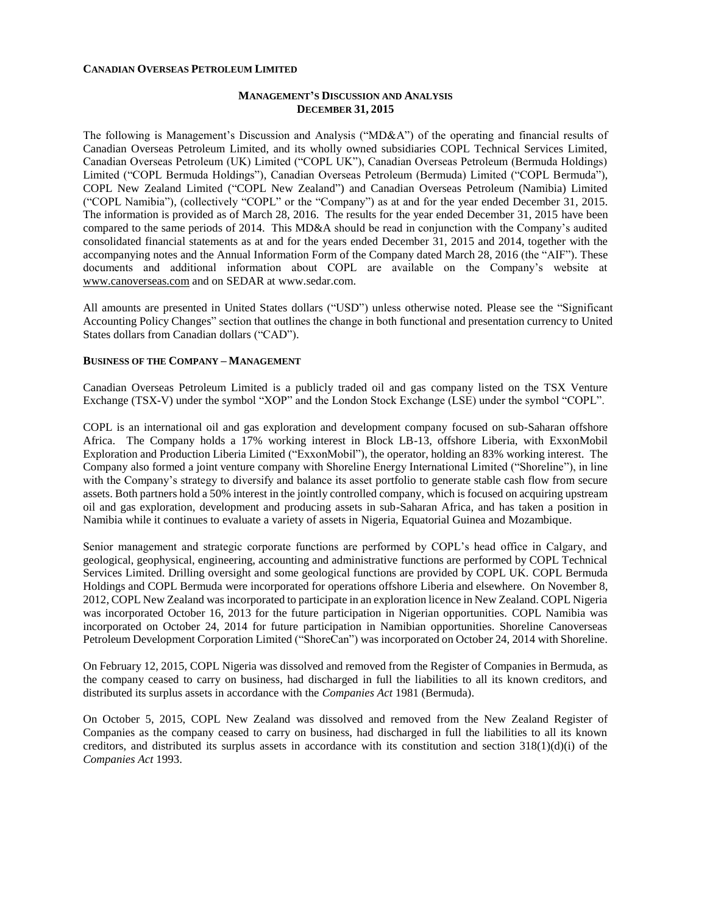#### **CANADIAN OVERSEAS PETROLEUM LIMITED**

## **MANAGEMENT'S DISCUSSION AND ANALYSIS DECEMBER 31, 2015**

The following is Management's Discussion and Analysis ("MD&A") of the operating and financial results of Canadian Overseas Petroleum Limited, and its wholly owned subsidiaries COPL Technical Services Limited, Canadian Overseas Petroleum (UK) Limited ("COPL UK"), Canadian Overseas Petroleum (Bermuda Holdings) Limited ("COPL Bermuda Holdings"), Canadian Overseas Petroleum (Bermuda) Limited ("COPL Bermuda"), COPL New Zealand Limited ("COPL New Zealand") and Canadian Overseas Petroleum (Namibia) Limited ("COPL Namibia"), (collectively "COPL" or the "Company") as at and for the year ended December 31, 2015. The information is provided as of March 28, 2016. The results for the year ended December 31, 2015 have been compared to the same periods of 2014. This MD&A should be read in conjunction with the Company's audited consolidated financial statements as at and for the years ended December 31, 2015 and 2014, together with the accompanying notes and the Annual Information Form of the Company dated March 28, 2016 (the "AIF"). These documents and additional information about COPL are available on the Company's website at [www.canoverseas.com](http://www.canoverseas.com/) and on SEDAR at [www.sedar.com.](http://www.sedar.com/)

All amounts are presented in United States dollars ("USD") unless otherwise noted. Please see the "Significant Accounting Policy Changes" section that outlines the change in both functional and presentation currency to United States dollars from Canadian dollars ("CAD").

## **BUSINESS OF THE COMPANY – MANAGEMENT**

Canadian Overseas Petroleum Limited is a publicly traded oil and gas company listed on the TSX Venture Exchange (TSX-V) under the symbol "XOP" and the London Stock Exchange (LSE) under the symbol "COPL".

COPL is an international oil and gas exploration and development company focused on sub-Saharan offshore Africa. The Company holds a 17% working interest in Block LB-13, offshore Liberia, with ExxonMobil Exploration and Production Liberia Limited ("ExxonMobil"), the operator, holding an 83% working interest. The Company also formed a joint venture company with Shoreline Energy International Limited ("Shoreline"), in line with the Company's strategy to diversify and balance its asset portfolio to generate stable cash flow from secure assets. Both partners hold a 50% interest in the jointly controlled company, which is focused on acquiring upstream oil and gas exploration, development and producing assets in sub-Saharan Africa, and has taken a position in Namibia while it continues to evaluate a variety of assets in Nigeria, Equatorial Guinea and Mozambique.

Senior management and strategic corporate functions are performed by COPL's head office in Calgary, and geological, geophysical, engineering, accounting and administrative functions are performed by COPL Technical Services Limited. Drilling oversight and some geological functions are provided by COPL UK. COPL Bermuda Holdings and COPL Bermuda were incorporated for operations offshore Liberia and elsewhere. On November 8, 2012, COPL New Zealand was incorporated to participate in an exploration licence in New Zealand. COPL Nigeria was incorporated October 16, 2013 for the future participation in Nigerian opportunities. COPL Namibia was incorporated on October 24, 2014 for future participation in Namibian opportunities. Shoreline Canoverseas Petroleum Development Corporation Limited ("ShoreCan") was incorporated on October 24, 2014 with Shoreline.

On February 12, 2015, COPL Nigeria was dissolved and removed from the Register of Companies in Bermuda, as the company ceased to carry on business, had discharged in full the liabilities to all its known creditors, and distributed its surplus assets in accordance with the *Companies Act* 1981 (Bermuda).

On October 5, 2015, COPL New Zealand was dissolved and removed from the New Zealand Register of Companies as the company ceased to carry on business, had discharged in full the liabilities to all its known creditors, and distributed its surplus assets in accordance with its constitution and section  $318(1)(d)(i)$  of the *Companies Act* 1993.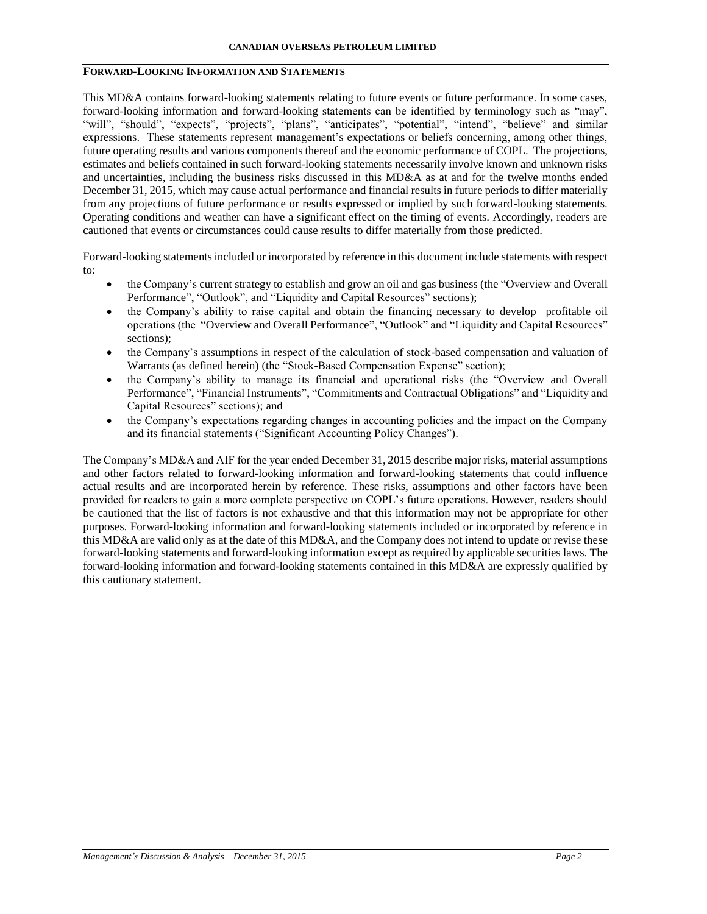# **FORWARD-LOOKING INFORMATION AND STATEMENTS**

This MD&A contains forward-looking statements relating to future events or future performance. In some cases, forward-looking information and forward-looking statements can be identified by terminology such as "may", "will", "should", "expects", "projects", "plans", "anticipates", "potential", "intend", "believe" and similar expressions. These statements represent management's expectations or beliefs concerning, among other things, future operating results and various components thereof and the economic performance of COPL. The projections, estimates and beliefs contained in such forward-looking statements necessarily involve known and unknown risks and uncertainties, including the business risks discussed in this MD&A as at and for the twelve months ended December 31, 2015, which may cause actual performance and financial results in future periods to differ materially from any projections of future performance or results expressed or implied by such forward-looking statements. Operating conditions and weather can have a significant effect on the timing of events. Accordingly, readers are cautioned that events or circumstances could cause results to differ materially from those predicted.

Forward-looking statements included or incorporated by reference in this document include statements with respect to:

- the Company's current strategy to establish and grow an oil and gas business (the "Overview and Overall Performance", "Outlook", and "Liquidity and Capital Resources" sections);
- the Company's ability to raise capital and obtain the financing necessary to develop profitable oil operations (the "Overview and Overall Performance", "Outlook" and "Liquidity and Capital Resources" sections);
- the Company's assumptions in respect of the calculation of stock-based compensation and valuation of Warrants (as defined herein) (the "Stock-Based Compensation Expense" section);
- the Company's ability to manage its financial and operational risks (the "Overview and Overall Performance", "Financial Instruments", "Commitments and Contractual Obligations" and "Liquidity and Capital Resources" sections); and
- the Company's expectations regarding changes in accounting policies and the impact on the Company and its financial statements ("Significant Accounting Policy Changes").

The Company's MD&A and AIF for the year ended December 31, 2015 describe major risks, material assumptions and other factors related to forward-looking information and forward-looking statements that could influence actual results and are incorporated herein by reference. These risks, assumptions and other factors have been provided for readers to gain a more complete perspective on COPL's future operations. However, readers should be cautioned that the list of factors is not exhaustive and that this information may not be appropriate for other purposes. Forward-looking information and forward-looking statements included or incorporated by reference in this MD&A are valid only as at the date of this MD&A, and the Company does not intend to update or revise these forward-looking statements and forward-looking information except as required by applicable securities laws. The forward-looking information and forward-looking statements contained in this MD&A are expressly qualified by this cautionary statement.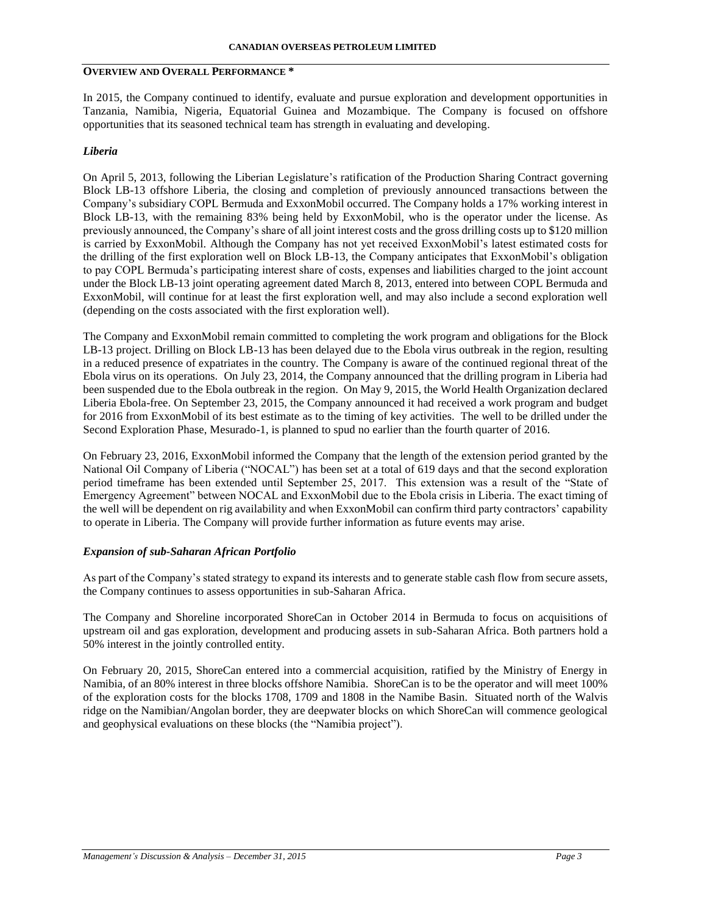# **OVERVIEW AND OVERALL PERFORMANCE \***

In 2015, the Company continued to identify, evaluate and pursue exploration and development opportunities in Tanzania, Namibia, Nigeria, Equatorial Guinea and Mozambique. The Company is focused on offshore opportunities that its seasoned technical team has strength in evaluating and developing.

## *Liberia*

On April 5, 2013, following the Liberian Legislature's ratification of the Production Sharing Contract governing Block LB-13 offshore Liberia, the closing and completion of previously announced transactions between the Company's subsidiary COPL Bermuda and ExxonMobil occurred. The Company holds a 17% working interest in Block LB-13, with the remaining 83% being held by ExxonMobil, who is the operator under the license. As previously announced, the Company's share of all joint interest costs and the gross drilling costs up to \$120 million is carried by ExxonMobil. Although the Company has not yet received ExxonMobil's latest estimated costs for the drilling of the first exploration well on Block LB-13, the Company anticipates that ExxonMobil's obligation to pay COPL Bermuda's participating interest share of costs, expenses and liabilities charged to the joint account under the Block LB-13 joint operating agreement dated March 8, 2013, entered into between COPL Bermuda and ExxonMobil, will continue for at least the first exploration well, and may also include a second exploration well (depending on the costs associated with the first exploration well).

The Company and ExxonMobil remain committed to completing the work program and obligations for the Block LB-13 project. Drilling on Block LB-13 has been delayed due to the Ebola virus outbreak in the region, resulting in a reduced presence of expatriates in the country. The Company is aware of the continued regional threat of the Ebola virus on its operations. On July 23, 2014, the Company announced that the drilling program in Liberia had been suspended due to the Ebola outbreak in the region. On May 9, 2015, the World Health Organization declared Liberia Ebola-free. On September 23, 2015, the Company announced it had received a work program and budget for 2016 from ExxonMobil of its best estimate as to the timing of key activities. The well to be drilled under the Second Exploration Phase, Mesurado-1, is planned to spud no earlier than the fourth quarter of 2016.

On February 23, 2016, ExxonMobil informed the Company that the length of the extension period granted by the National Oil Company of Liberia ("NOCAL") has been set at a total of 619 days and that the second exploration period timeframe has been extended until September 25, 2017. This extension was a result of the "State of Emergency Agreement" between NOCAL and ExxonMobil due to the Ebola crisis in Liberia. The exact timing of the well will be dependent on rig availability and when ExxonMobil can confirm third party contractors' capability to operate in Liberia. The Company will provide further information as future events may arise.

### *Expansion of sub-Saharan African Portfolio*

As part of the Company's stated strategy to expand its interests and to generate stable cash flow from secure assets, the Company continues to assess opportunities in sub-Saharan Africa.

The Company and Shoreline incorporated ShoreCan in October 2014 in Bermuda to focus on acquisitions of upstream oil and gas exploration, development and producing assets in sub-Saharan Africa. Both partners hold a 50% interest in the jointly controlled entity.

On February 20, 2015, ShoreCan entered into a commercial acquisition, ratified by the Ministry of Energy in Namibia, of an 80% interest in three blocks offshore Namibia. ShoreCan is to be the operator and will meet 100% of the exploration costs for the blocks 1708, 1709 and 1808 in the Namibe Basin. Situated north of the Walvis ridge on the Namibian/Angolan border, they are deepwater blocks on which ShoreCan will commence geological and geophysical evaluations on these blocks (the "Namibia project").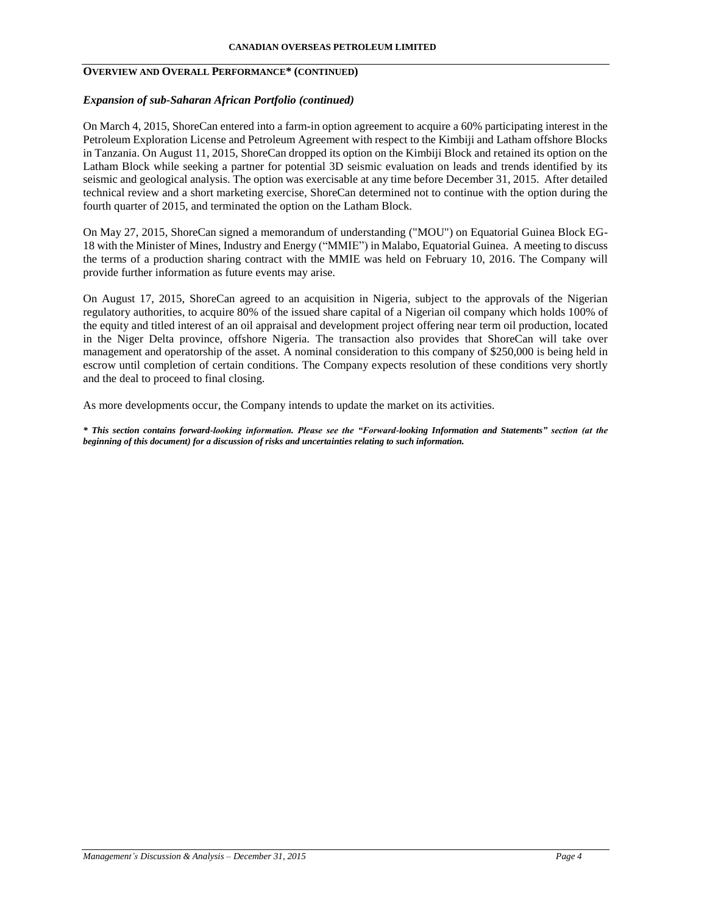# **OVERVIEW AND OVERALL PERFORMANCE\* (CONTINUED)**

### *Expansion of sub-Saharan African Portfolio (continued)*

On March 4, 2015, ShoreCan entered into a farm-in option agreement to acquire a 60% participating interest in the Petroleum Exploration License and Petroleum Agreement with respect to the Kimbiji and Latham offshore Blocks in Tanzania. On August 11, 2015, ShoreCan dropped its option on the Kimbiji Block and retained its option on the Latham Block while seeking a partner for potential 3D seismic evaluation on leads and trends identified by its seismic and geological analysis. The option was exercisable at any time before December 31, 2015. After detailed technical review and a short marketing exercise, ShoreCan determined not to continue with the option during the fourth quarter of 2015, and terminated the option on the Latham Block.

On May 27, 2015, ShoreCan signed a memorandum of understanding ("MOU") on Equatorial Guinea Block EG-18 with the Minister of Mines, Industry and Energy ("MMIE") in Malabo, Equatorial Guinea. A meeting to discuss the terms of a production sharing contract with the MMIE was held on February 10, 2016. The Company will provide further information as future events may arise.

On August 17, 2015, ShoreCan agreed to an acquisition in Nigeria, subject to the approvals of the Nigerian regulatory authorities, to acquire 80% of the issued share capital of a Nigerian oil company which holds 100% of the equity and titled interest of an oil appraisal and development project offering near term oil production, located in the Niger Delta province, offshore Nigeria. The transaction also provides that ShoreCan will take over management and operatorship of the asset. A nominal consideration to this company of \$250,000 is being held in escrow until completion of certain conditions. The Company expects resolution of these conditions very shortly and the deal to proceed to final closing.

As more developments occur, the Company intends to update the market on its activities.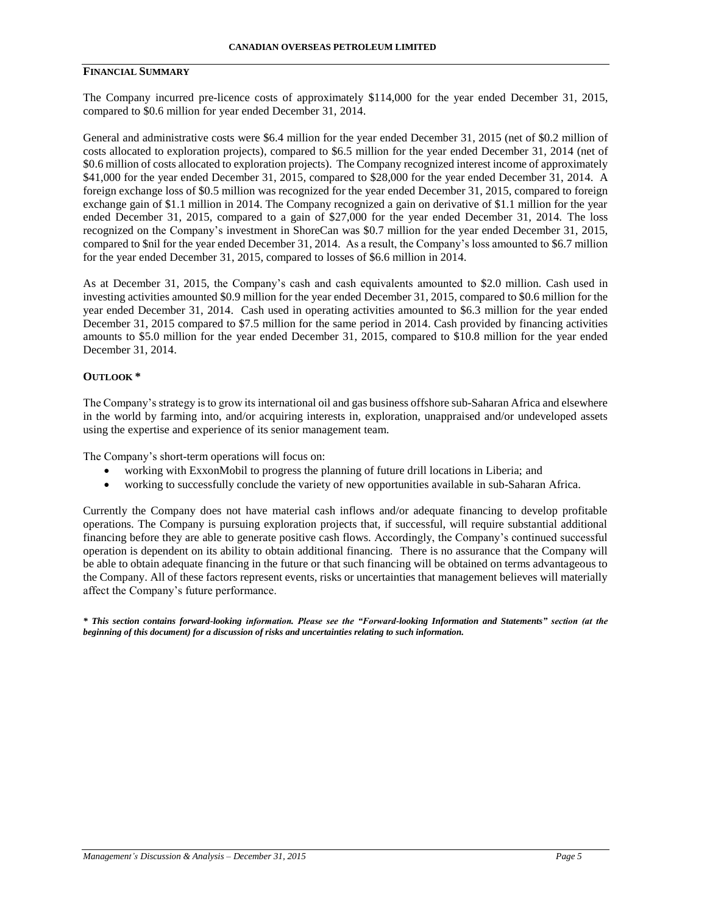## **FINANCIAL SUMMARY**

The Company incurred pre-licence costs of approximately \$114,000 for the year ended December 31, 2015, compared to \$0.6 million for year ended December 31, 2014.

General and administrative costs were \$6.4 million for the year ended December 31, 2015 (net of \$0.2 million of costs allocated to exploration projects), compared to \$6.5 million for the year ended December 31, 2014 (net of \$0.6 million of costs allocated to exploration projects). The Company recognized interest income of approximately \$41,000 for the year ended December 31, 2015, compared to \$28,000 for the year ended December 31, 2014. A foreign exchange loss of \$0.5 million was recognized for the year ended December 31, 2015, compared to foreign exchange gain of \$1.1 million in 2014. The Company recognized a gain on derivative of \$1.1 million for the year ended December 31, 2015, compared to a gain of \$27,000 for the year ended December 31, 2014. The loss recognized on the Company's investment in ShoreCan was \$0.7 million for the year ended December 31, 2015, compared to \$nil for the year ended December 31, 2014. As a result, the Company's loss amounted to \$6.7 million for the year ended December 31, 2015, compared to losses of \$6.6 million in 2014.

As at December 31, 2015, the Company's cash and cash equivalents amounted to \$2.0 million. Cash used in investing activities amounted \$0.9 million for the year ended December 31, 2015, compared to \$0.6 million for the year ended December 31, 2014. Cash used in operating activities amounted to \$6.3 million for the year ended December 31, 2015 compared to \$7.5 million for the same period in 2014. Cash provided by financing activities amounts to \$5.0 million for the year ended December 31, 2015, compared to \$10.8 million for the year ended December 31, 2014.

#### **OUTLOOK \***

The Company's strategy is to grow its international oil and gas business offshore sub-Saharan Africa and elsewhere in the world by farming into, and/or acquiring interests in, exploration, unappraised and/or undeveloped assets using the expertise and experience of its senior management team.

The Company's short-term operations will focus on:

- working with ExxonMobil to progress the planning of future drill locations in Liberia; and
- working to successfully conclude the variety of new opportunities available in sub-Saharan Africa.

Currently the Company does not have material cash inflows and/or adequate financing to develop profitable operations. The Company is pursuing exploration projects that, if successful, will require substantial additional financing before they are able to generate positive cash flows. Accordingly, the Company's continued successful operation is dependent on its ability to obtain additional financing. There is no assurance that the Company will be able to obtain adequate financing in the future or that such financing will be obtained on terms advantageous to the Company. All of these factors represent events, risks or uncertainties that management believes will materially affect the Company's future performance.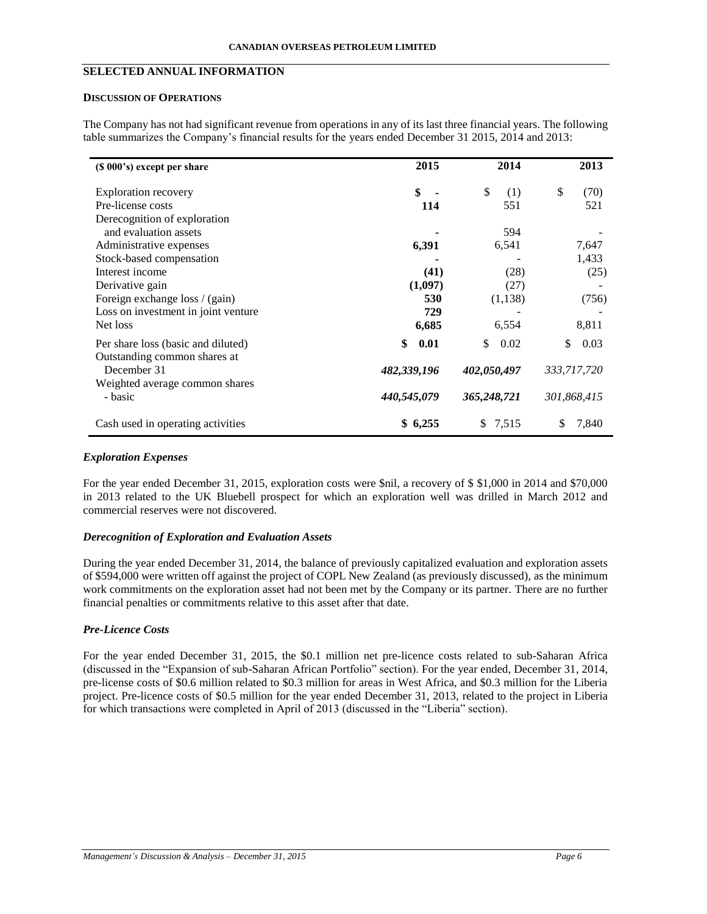# **SELECTED ANNUAL INFORMATION**

### **DISCUSSION OF OPERATIONS**

The Company has not had significant revenue from operations in any of its last three financial years. The following table summarizes the Company's financial results for the years ended December 31 2015, 2014 and 2013:

| (\$ 000's) except per share                 | 2015        | 2014        | 2013        |
|---------------------------------------------|-------------|-------------|-------------|
| <b>Exploration recovery</b>                 | \$          | \$<br>(1)   | \$<br>(70)  |
| Pre-license costs                           | 114         | 551         | 521         |
| Derecognition of exploration                |             |             |             |
| and evaluation assets                       |             | 594         |             |
| Administrative expenses                     | 6,391       | 6,541       | 7,647       |
| Stock-based compensation                    |             |             | 1,433       |
| Interest income                             | (41)        | (28)        | (25)        |
| Derivative gain                             | (1,097)     | (27)        |             |
| Foreign exchange loss / (gain)              | 530         | (1,138)     | (756)       |
| Loss on investment in joint venture         | 729         |             |             |
| Net loss                                    | 6,685       | 6,554       | 8,811       |
| Per share loss (basic and diluted)          | \$<br>0.01  | \$.<br>0.02 | \$<br>0.03  |
| Outstanding common shares at<br>December 31 | 482,339,196 | 402,050,497 | 333,717,720 |
| Weighted average common shares<br>- basic   | 440,545,079 | 365,248,721 | 301,868,415 |
|                                             |             |             |             |
| Cash used in operating activities           | \$6,255     | \$7,515     | 7,840       |

## *Exploration Expenses*

For the year ended December 31, 2015, exploration costs were \$nil, a recovery of \$ \$1,000 in 2014 and \$70,000 in 2013 related to the UK Bluebell prospect for which an exploration well was drilled in March 2012 and commercial reserves were not discovered.

### *Derecognition of Exploration and Evaluation Assets*

During the year ended December 31, 2014, the balance of previously capitalized evaluation and exploration assets of \$594,000 were written off against the project of COPL New Zealand (as previously discussed), as the minimum work commitments on the exploration asset had not been met by the Company or its partner. There are no further financial penalties or commitments relative to this asset after that date.

# *Pre-Licence Costs*

For the year ended December 31, 2015, the \$0.1 million net pre-licence costs related to sub-Saharan Africa (discussed in the "Expansion of sub-Saharan African Portfolio" section). For the year ended, December 31, 2014, pre-license costs of \$0.6 million related to \$0.3 million for areas in West Africa, and \$0.3 million for the Liberia project. Pre-licence costs of \$0.5 million for the year ended December 31, 2013, related to the project in Liberia for which transactions were completed in April of 2013 (discussed in the "Liberia" section).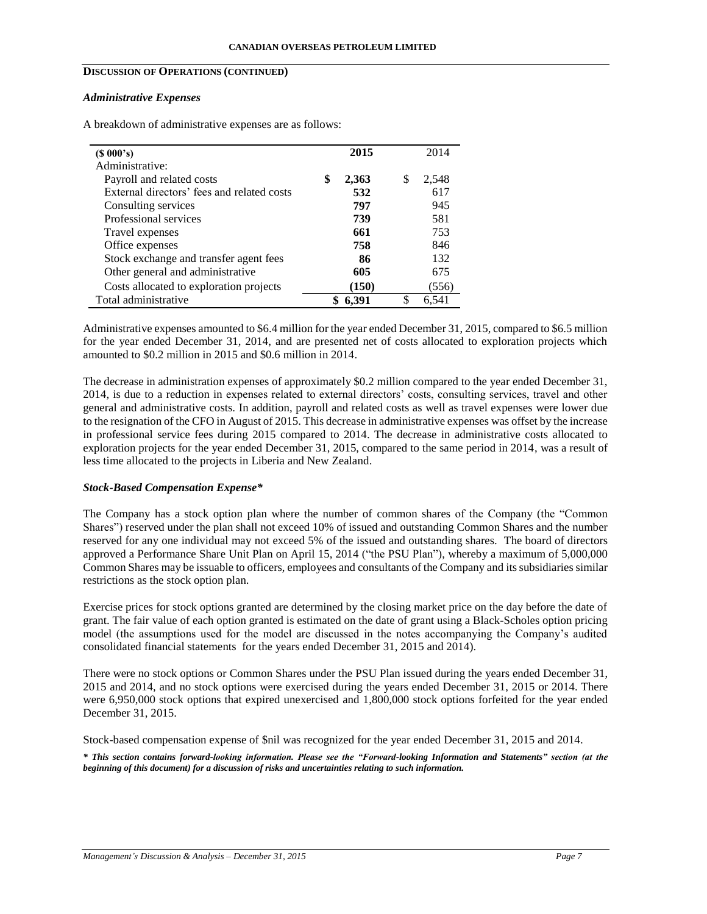# **DISCUSSION OF OPERATIONS (CONTINUED)**

#### *Administrative Expenses*

A breakdown of administrative expenses are as follows:

| $(S\ 000's)$                               | 2015        |    | 2014  |
|--------------------------------------------|-------------|----|-------|
| Administrative:                            |             |    |       |
| Payroll and related costs                  | \$<br>2,363 | S  | 2,548 |
| External directors' fees and related costs | 532         |    | 617   |
| Consulting services                        | 797         |    | 945   |
| Professional services                      | 739         |    | 581   |
| Travel expenses                            | 661         |    | 753   |
| Office expenses                            | 758         |    | 846   |
| Stock exchange and transfer agent fees     | 86          |    | 132   |
| Other general and administrative           | 605         |    | 675   |
| Costs allocated to exploration projects    | (150)       |    | (556) |
| Total administrative                       | 6,391       | \$ | 6,541 |

Administrative expenses amounted to \$6.4 million for the year ended December 31, 2015, compared to \$6.5 million for the year ended December 31, 2014, and are presented net of costs allocated to exploration projects which amounted to \$0.2 million in 2015 and \$0.6 million in 2014.

The decrease in administration expenses of approximately \$0.2 million compared to the year ended December 31, 2014, is due to a reduction in expenses related to external directors' costs, consulting services, travel and other general and administrative costs. In addition, payroll and related costs as well as travel expenses were lower due to the resignation of the CFO in August of 2015. This decrease in administrative expenses was offset by the increase in professional service fees during 2015 compared to 2014. The decrease in administrative costs allocated to exploration projects for the year ended December 31, 2015, compared to the same period in 2014, was a result of less time allocated to the projects in Liberia and New Zealand.

### *Stock-Based Compensation Expense\**

The Company has a stock option plan where the number of common shares of the Company (the "Common Shares") reserved under the plan shall not exceed 10% of issued and outstanding Common Shares and the number reserved for any one individual may not exceed 5% of the issued and outstanding shares. The board of directors approved a Performance Share Unit Plan on April 15, 2014 ("the PSU Plan"), whereby a maximum of 5,000,000 Common Shares may be issuable to officers, employees and consultants of the Company and its subsidiaries similar restrictions as the stock option plan.

Exercise prices for stock options granted are determined by the closing market price on the day before the date of grant. The fair value of each option granted is estimated on the date of grant using a Black-Scholes option pricing model (the assumptions used for the model are discussed in the notes accompanying the Company's audited consolidated financial statements for the years ended December 31, 2015 and 2014).

There were no stock options or Common Shares under the PSU Plan issued during the years ended December 31, 2015 and 2014, and no stock options were exercised during the years ended December 31, 2015 or 2014. There were 6,950,000 stock options that expired unexercised and 1,800,000 stock options forfeited for the year ended December 31, 2015.

Stock-based compensation expense of \$nil was recognized for the year ended December 31, 2015 and 2014.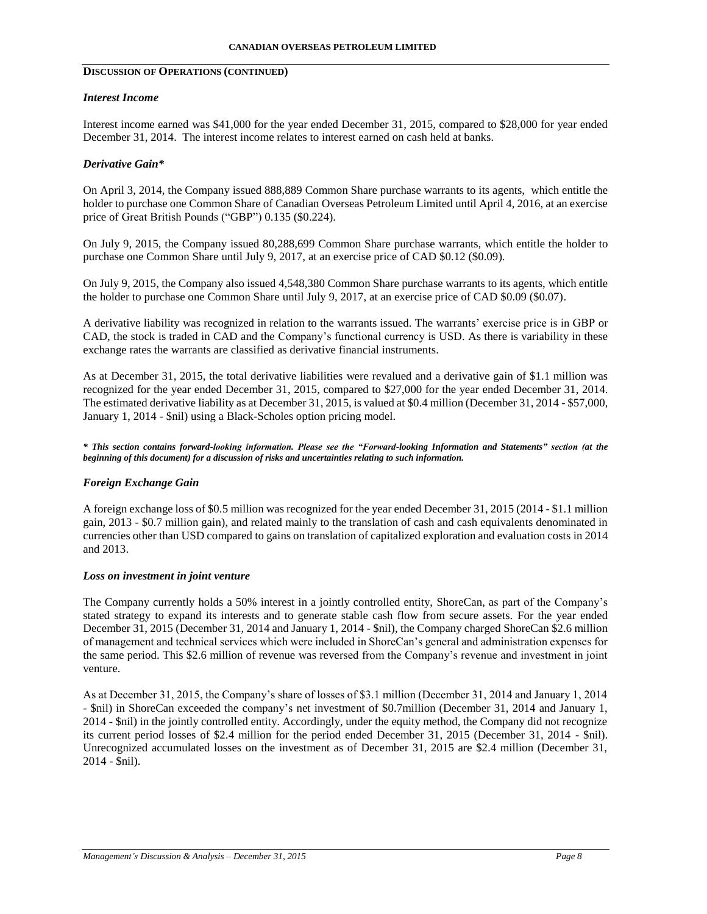# **DISCUSSION OF OPERATIONS (CONTINUED)**

### *Interest Income*

Interest income earned was \$41,000 for the year ended December 31, 2015, compared to \$28,000 for year ended December 31, 2014. The interest income relates to interest earned on cash held at banks.

### *Derivative Gain\**

On April 3, 2014, the Company issued 888,889 Common Share purchase warrants to its agents, which entitle the holder to purchase one Common Share of Canadian Overseas Petroleum Limited until April 4, 2016, at an exercise price of Great British Pounds ("GBP") 0.135 (\$0.224).

On July 9, 2015, the Company issued 80,288,699 Common Share purchase warrants, which entitle the holder to purchase one Common Share until July 9, 2017, at an exercise price of CAD \$0.12 (\$0.09).

On July 9, 2015, the Company also issued 4,548,380 Common Share purchase warrants to its agents, which entitle the holder to purchase one Common Share until July 9, 2017, at an exercise price of CAD \$0.09 (\$0.07).

A derivative liability was recognized in relation to the warrants issued. The warrants' exercise price is in GBP or CAD, the stock is traded in CAD and the Company's functional currency is USD. As there is variability in these exchange rates the warrants are classified as derivative financial instruments.

As at December 31, 2015, the total derivative liabilities were revalued and a derivative gain of \$1.1 million was recognized for the year ended December 31, 2015, compared to \$27,000 for the year ended December 31, 2014. The estimated derivative liability as at December 31, 2015, is valued at \$0.4 million (December 31, 2014 - \$57,000, January 1, 2014 - \$nil) using a Black-Scholes option pricing model.

*\* This section contains forward-looking information. Please see the "Forward-looking Information and Statements" section (at the beginning of this document) for a discussion of risks and uncertainties relating to such information.*

# *Foreign Exchange Gain*

A foreign exchange loss of \$0.5 million was recognized for the year ended December 31, 2015 (2014 - \$1.1 million gain, 2013 - \$0.7 million gain), and related mainly to the translation of cash and cash equivalents denominated in currencies other than USD compared to gains on translation of capitalized exploration and evaluation costs in 2014 and 2013.

#### *Loss on investment in joint venture*

The Company currently holds a 50% interest in a jointly controlled entity, ShoreCan, as part of the Company's stated strategy to expand its interests and to generate stable cash flow from secure assets. For the year ended December 31, 2015 (December 31, 2014 and January 1, 2014 - \$nil), the Company charged ShoreCan \$2.6 million of management and technical services which were included in ShoreCan's general and administration expenses for the same period. This \$2.6 million of revenue was reversed from the Company's revenue and investment in joint venture.

As at December 31, 2015, the Company's share of losses of \$3.1 million (December 31, 2014 and January 1, 2014 - \$nil) in ShoreCan exceeded the company's net investment of \$0.7million (December 31, 2014 and January 1, 2014 - \$nil) in the jointly controlled entity. Accordingly, under the equity method, the Company did not recognize its current period losses of \$2.4 million for the period ended December 31, 2015 (December 31, 2014 - \$nil). Unrecognized accumulated losses on the investment as of December 31, 2015 are \$2.4 million (December 31, 2014 - \$nil).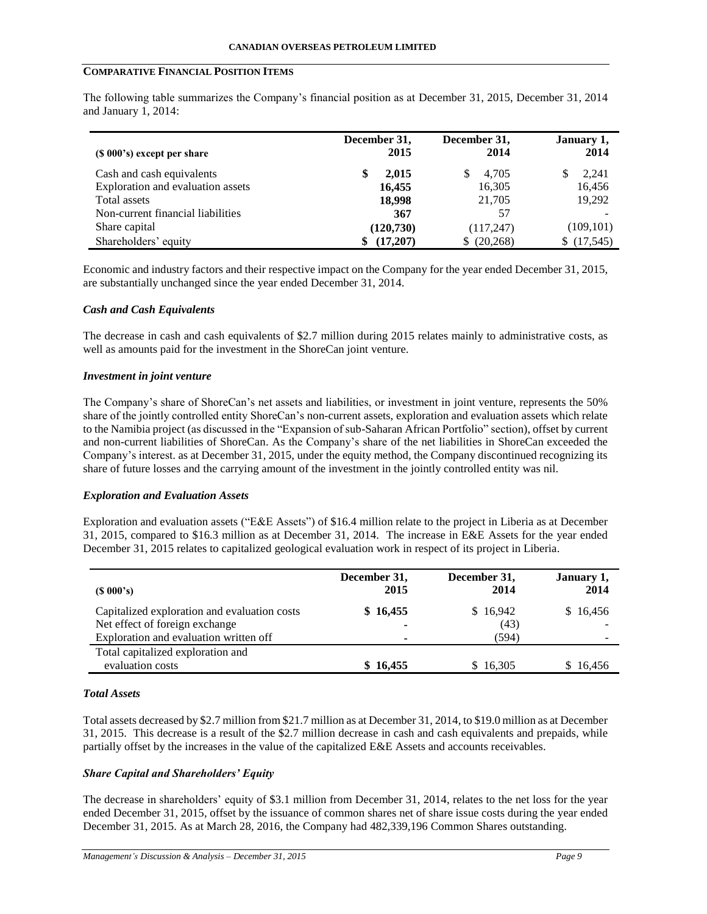## **COMPARATIVE FINANCIAL POSITION ITEMS**

The following table summarizes the Company's financial position as at December 31, 2015, December 31, 2014 and January 1, 2014:

| (\$ 000's) except per share       | December 31,<br>2015 | December 31,<br>2014 | January 1,<br>2014 |
|-----------------------------------|----------------------|----------------------|--------------------|
| Cash and cash equivalents         | 2,015                | 4,705<br>S           | 2,241              |
| Exploration and evaluation assets | 16,455               | 16,305               | 16,456             |
| Total assets                      | 18,998               | 21,705               | 19,292             |
| Non-current financial liabilities | 367                  | 57                   |                    |
| Share capital                     | (120, 730)           | (117,247)            | (109, 101)         |
| Shareholders' equity              | (17,207)             | (20, 268)<br>S.      | (17,545)<br>S.     |

Economic and industry factors and their respective impact on the Company for the year ended December 31, 2015, are substantially unchanged since the year ended December 31, 2014.

### *Cash and Cash Equivalents*

The decrease in cash and cash equivalents of \$2.7 million during 2015 relates mainly to administrative costs, as well as amounts paid for the investment in the ShoreCan joint venture.

#### *Investment in joint venture*

The Company's share of ShoreCan's net assets and liabilities, or investment in joint venture, represents the 50% share of the jointly controlled entity ShoreCan's non-current assets, exploration and evaluation assets which relate to the Namibia project (as discussed in the "Expansion of sub-Saharan African Portfolio" section), offset by current and non-current liabilities of ShoreCan. As the Company's share of the net liabilities in ShoreCan exceeded the Company's interest. as at December 31, 2015, under the equity method, the Company discontinued recognizing its share of future losses and the carrying amount of the investment in the jointly controlled entity was nil.

### *Exploration and Evaluation Assets*

Exploration and evaluation assets ("E&E Assets") of \$16.4 million relate to the project in Liberia as at December 31, 2015, compared to \$16.3 million as at December 31, 2014. The increase in E&E Assets for the year ended December 31, 2015 relates to capitalized geological evaluation work in respect of its project in Liberia.

| $(S\ 000's)$                                                                                                             | December 31,<br>2015                 | December 31,<br>2014      | January 1,<br>2014 |
|--------------------------------------------------------------------------------------------------------------------------|--------------------------------------|---------------------------|--------------------|
| Capitalized exploration and evaluation costs<br>Net effect of foreign exchange<br>Exploration and evaluation written off | \$16,455                             | \$16,942<br>(43)<br>(594) | \$16,456           |
| Total capitalized exploration and<br>evaluation costs                                                                    | $\overline{\phantom{a}}$<br>\$16,455 | \$16,305                  | \$16,456           |

## *Total Assets*

Total assets decreased by \$2.7 million from \$21.7 million as at December 31, 2014, to \$19.0 million as at December 31, 2015. This decrease is a result of the \$2.7 million decrease in cash and cash equivalents and prepaids, while partially offset by the increases in the value of the capitalized E&E Assets and accounts receivables.

### *Share Capital and Shareholders' Equity*

The decrease in shareholders' equity of \$3.1 million from December 31, 2014, relates to the net loss for the year ended December 31, 2015, offset by the issuance of common shares net of share issue costs during the year ended December 31, 2015. As at March 28, 2016, the Company had 482,339,196 Common Shares outstanding.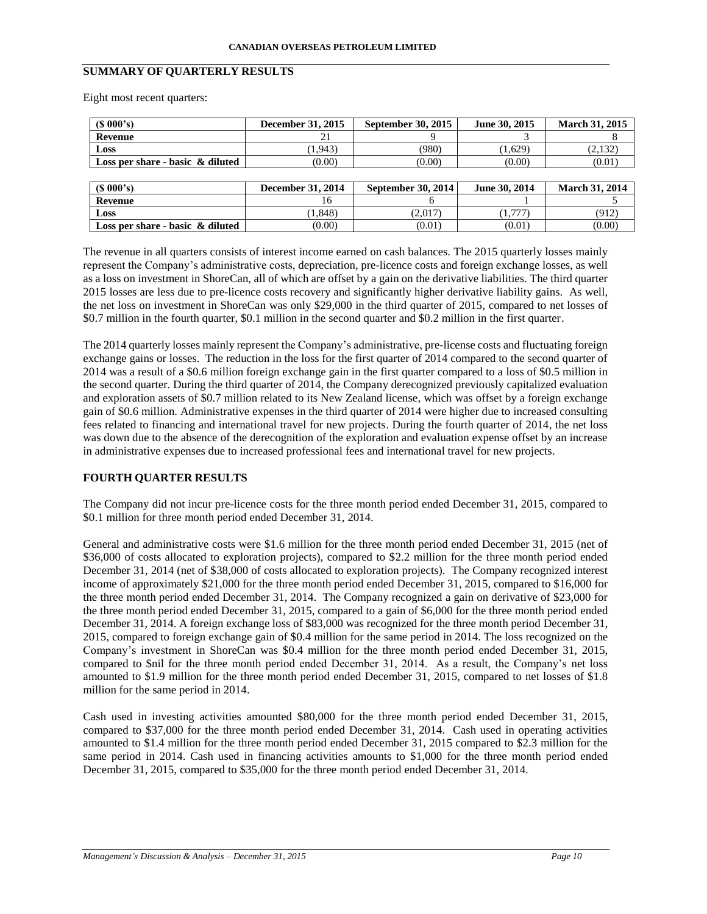## **SUMMARY OF QUARTERLY RESULTS**

Eight most recent quarters:

| (S 000's)                           | December 31, 2015        | <b>September 30, 2015</b> | June 30, 2015 | March 31, 2015        |
|-------------------------------------|--------------------------|---------------------------|---------------|-----------------------|
| Revenue                             | 21                       |                           |               |                       |
| Loss                                | (1.943)                  | (980)                     | (1.629)       | (2,132)               |
| Loss per share - basic $\&$ diluted | (0.00)                   | (0.00)                    | (0.00)        | (0.01)                |
|                                     |                          |                           |               |                       |
|                                     |                          |                           |               |                       |
| (S 000's)                           | <b>December 31, 2014</b> | September 30, 2014        | June 30, 2014 | <b>March 31, 2014</b> |
| Revenue                             | 16                       |                           |               |                       |
| Loss                                | 1,848)                   | (2,017)                   | (1,777)       | (912)                 |

The revenue in all quarters consists of interest income earned on cash balances. The 2015 quarterly losses mainly represent the Company's administrative costs, depreciation, pre-licence costs and foreign exchange losses, as well as a loss on investment in ShoreCan, all of which are offset by a gain on the derivative liabilities. The third quarter 2015 losses are less due to pre-licence costs recovery and significantly higher derivative liability gains. As well, the net loss on investment in ShoreCan was only \$29,000 in the third quarter of 2015, compared to net losses of \$0.7 million in the fourth quarter, \$0.1 million in the second quarter and \$0.2 million in the first quarter.

The 2014 quarterly losses mainly represent the Company's administrative, pre-license costs and fluctuating foreign exchange gains or losses. The reduction in the loss for the first quarter of 2014 compared to the second quarter of 2014 was a result of a \$0.6 million foreign exchange gain in the first quarter compared to a loss of \$0.5 million in the second quarter. During the third quarter of 2014, the Company derecognized previously capitalized evaluation and exploration assets of \$0.7 million related to its New Zealand license, which was offset by a foreign exchange gain of \$0.6 million. Administrative expenses in the third quarter of 2014 were higher due to increased consulting fees related to financing and international travel for new projects. During the fourth quarter of 2014, the net loss was down due to the absence of the derecognition of the exploration and evaluation expense offset by an increase in administrative expenses due to increased professional fees and international travel for new projects.

# **FOURTH QUARTER RESULTS**

The Company did not incur pre-licence costs for the three month period ended December 31, 2015, compared to \$0.1 million for three month period ended December 31, 2014.

General and administrative costs were \$1.6 million for the three month period ended December 31, 2015 (net of \$36,000 of costs allocated to exploration projects), compared to \$2.2 million for the three month period ended December 31, 2014 (net of \$38,000 of costs allocated to exploration projects). The Company recognized interest income of approximately \$21,000 for the three month period ended December 31, 2015, compared to \$16,000 for the three month period ended December 31, 2014. The Company recognized a gain on derivative of \$23,000 for the three month period ended December 31, 2015, compared to a gain of \$6,000 for the three month period ended December 31, 2014. A foreign exchange loss of \$83,000 was recognized for the three month period December 31, 2015, compared to foreign exchange gain of \$0.4 million for the same period in 2014. The loss recognized on the Company's investment in ShoreCan was \$0.4 million for the three month period ended December 31, 2015, compared to \$nil for the three month period ended December 31, 2014. As a result, the Company's net loss amounted to \$1.9 million for the three month period ended December 31, 2015, compared to net losses of \$1.8 million for the same period in 2014.

Cash used in investing activities amounted \$80,000 for the three month period ended December 31, 2015, compared to \$37,000 for the three month period ended December 31, 2014. Cash used in operating activities amounted to \$1.4 million for the three month period ended December 31, 2015 compared to \$2.3 million for the same period in 2014. Cash used in financing activities amounts to \$1,000 for the three month period ended December 31, 2015, compared to \$35,000 for the three month period ended December 31, 2014.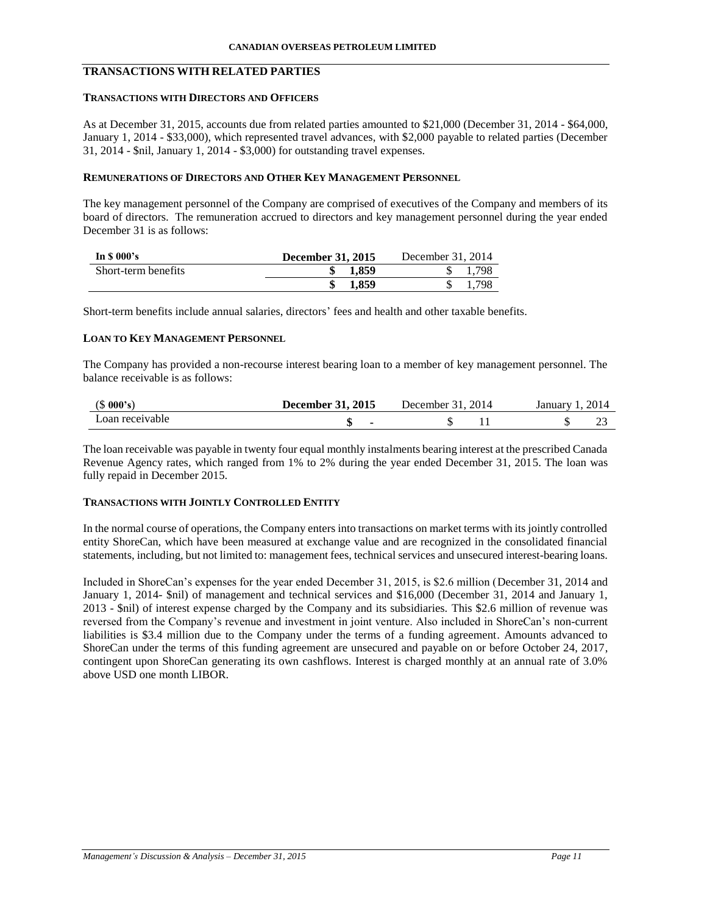# **TRANSACTIONS WITH RELATED PARTIES**

### **TRANSACTIONS WITH DIRECTORS AND OFFICERS**

As at December 31, 2015, accounts due from related parties amounted to \$21,000 (December 31, 2014 - \$64,000, January 1, 2014 - \$33,000), which represented travel advances, with \$2,000 payable to related parties (December 31, 2014 - \$nil, January 1, 2014 - \$3,000) for outstanding travel expenses.

## **REMUNERATIONS OF DIRECTORS AND OTHER KEY MANAGEMENT PERSONNEL**

The key management personnel of the Company are comprised of executives of the Company and members of its board of directors. The remuneration accrued to directors and key management personnel during the year ended December 31 is as follows:

| In $\$$ 000's       | <b>December 31, 2015</b> | December 31, 2014 |
|---------------------|--------------------------|-------------------|
| Short-term benefits | 1.859                    | .798              |
|                     | 1.859                    | .798              |

Short-term benefits include annual salaries, directors' fees and health and other taxable benefits.

#### **LOAN TO KEY MANAGEMENT PERSONNEL**

The Company has provided a non-recourse interest bearing loan to a member of key management personnel. The balance receivable is as follows:

| (S 000's)       | <b>December 31, 2015</b> | 2014<br>December 31. 2 | 2014<br>January J |
|-----------------|--------------------------|------------------------|-------------------|
| Loan receivable |                          |                        |                   |

The loan receivable was payable in twenty four equal monthly instalments bearing interest at the prescribed Canada Revenue Agency rates, which ranged from 1% to 2% during the year ended December 31, 2015. The loan was fully repaid in December 2015.

## **TRANSACTIONS WITH JOINTLY CONTROLLED ENTITY**

In the normal course of operations, the Company enters into transactions on market terms with its jointly controlled entity ShoreCan, which have been measured at exchange value and are recognized in the consolidated financial statements, including, but not limited to: management fees, technical services and unsecured interest-bearing loans.

Included in ShoreCan's expenses for the year ended December 31, 2015, is \$2.6 million (December 31, 2014 and January 1, 2014- \$nil) of management and technical services and \$16,000 (December 31, 2014 and January 1, 2013 - \$nil) of interest expense charged by the Company and its subsidiaries. This \$2.6 million of revenue was reversed from the Company's revenue and investment in joint venture. Also included in ShoreCan's non-current liabilities is \$3.4 million due to the Company under the terms of a funding agreement. Amounts advanced to ShoreCan under the terms of this funding agreement are unsecured and payable on or before October 24, 2017, contingent upon ShoreCan generating its own cashflows. Interest is charged monthly at an annual rate of 3.0% above USD one month LIBOR.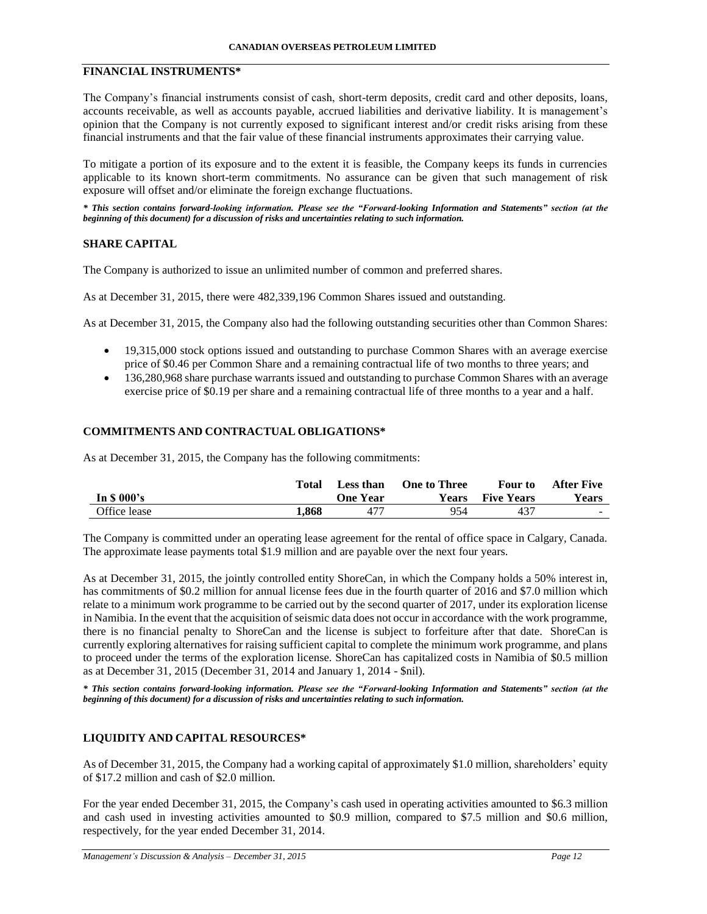# **FINANCIAL INSTRUMENTS\***

The Company's financial instruments consist of cash, short-term deposits, credit card and other deposits, loans, accounts receivable, as well as accounts payable, accrued liabilities and derivative liability. It is management's opinion that the Company is not currently exposed to significant interest and/or credit risks arising from these financial instruments and that the fair value of these financial instruments approximates their carrying value.

To mitigate a portion of its exposure and to the extent it is feasible, the Company keeps its funds in currencies applicable to its known short-term commitments. No assurance can be given that such management of risk exposure will offset and/or eliminate the foreign exchange fluctuations.

*\* This section contains forward-looking information. Please see the "Forward-looking Information and Statements" section (at the beginning of this document) for a discussion of risks and uncertainties relating to such information.*

# **SHARE CAPITAL**

The Company is authorized to issue an unlimited number of common and preferred shares.

As at December 31, 2015, there were 482,339,196 Common Shares issued and outstanding.

As at December 31, 2015, the Company also had the following outstanding securities other than Common Shares:

- 19,315,000 stock options issued and outstanding to purchase Common Shares with an average exercise price of \$0.46 per Common Share and a remaining contractual life of two months to three years; and
- 136,280,968 share purchase warrants issued and outstanding to purchase Common Shares with an average exercise price of \$0.19 per share and a remaining contractual life of three months to a year and a half.

# **COMMITMENTS AND CONTRACTUAL OBLIGATIONS\***

As at December 31, 2015, the Company has the following commitments:

|              | Total | Less than       | <b>One to Three</b> | Four to           | After Five |
|--------------|-------|-----------------|---------------------|-------------------|------------|
| In $$000's$  |       | <b>One Year</b> | <b>Years</b>        | <b>Five Years</b> | Years      |
| Office lease | 1.868 | -477            | 954                 | 437               | $\sim$     |

The Company is committed under an operating lease agreement for the rental of office space in Calgary, Canada. The approximate lease payments total \$1.9 million and are payable over the next four years.

As at December 31, 2015, the jointly controlled entity ShoreCan, in which the Company holds a 50% interest in, has commitments of \$0.2 million for annual license fees due in the fourth quarter of 2016 and \$7.0 million which relate to a minimum work programme to be carried out by the second quarter of 2017, under its exploration license in Namibia. In the event that the acquisition of seismic data does not occur in accordance with the work programme, there is no financial penalty to ShoreCan and the license is subject to forfeiture after that date. ShoreCan is currently exploring alternatives for raising sufficient capital to complete the minimum work programme, and plans to proceed under the terms of the exploration license. ShoreCan has capitalized costs in Namibia of \$0.5 million as at December 31, 2015 (December 31, 2014 and January 1, 2014 - \$nil).

*\* This section contains forward-looking information. Please see the "Forward-looking Information and Statements" section (at the beginning of this document) for a discussion of risks and uncertainties relating to such information.*

## **LIQUIDITY AND CAPITAL RESOURCES\***

As of December 31, 2015, the Company had a working capital of approximately \$1.0 million, shareholders' equity of \$17.2 million and cash of \$2.0 million.

For the year ended December 31, 2015, the Company's cash used in operating activities amounted to \$6.3 million and cash used in investing activities amounted to \$0.9 million, compared to \$7.5 million and \$0.6 million, respectively, for the year ended December 31, 2014.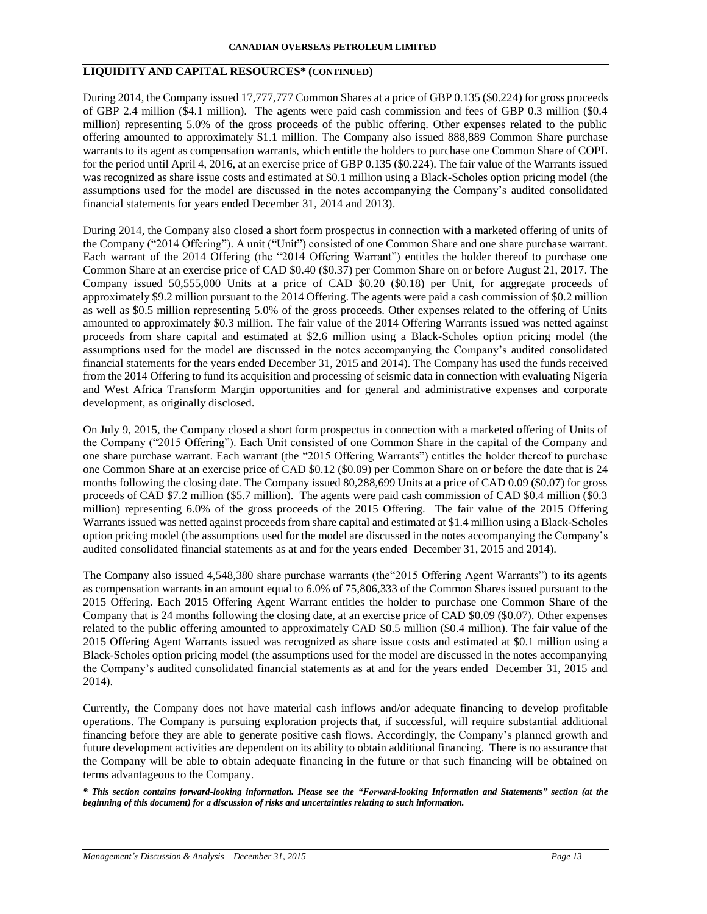# **LIQUIDITY AND CAPITAL RESOURCES\* (CONTINUED)**

During 2014, the Company issued 17,777,777 Common Shares at a price of GBP 0.135 (\$0.224) for gross proceeds of GBP 2.4 million (\$4.1 million). The agents were paid cash commission and fees of GBP 0.3 million (\$0.4 million) representing 5.0% of the gross proceeds of the public offering. Other expenses related to the public offering amounted to approximately \$1.1 million. The Company also issued 888,889 Common Share purchase warrants to its agent as compensation warrants, which entitle the holders to purchase one Common Share of COPL for the period until April 4, 2016, at an exercise price of GBP 0.135 (\$0.224). The fair value of the Warrants issued was recognized as share issue costs and estimated at \$0.1 million using a Black-Scholes option pricing model (the assumptions used for the model are discussed in the notes accompanying the Company's audited consolidated financial statements for years ended December 31, 2014 and 2013).

During 2014, the Company also closed a short form prospectus in connection with a marketed offering of units of the Company ("2014 Offering"). A unit ("Unit") consisted of one Common Share and one share purchase warrant. Each warrant of the 2014 Offering (the "2014 Offering Warrant") entitles the holder thereof to purchase one Common Share at an exercise price of CAD \$0.40 (\$0.37) per Common Share on or before August 21, 2017. The Company issued 50,555,000 Units at a price of CAD \$0.20 (\$0.18) per Unit, for aggregate proceeds of approximately \$9.2 million pursuant to the 2014 Offering. The agents were paid a cash commission of \$0.2 million as well as \$0.5 million representing 5.0% of the gross proceeds. Other expenses related to the offering of Units amounted to approximately \$0.3 million. The fair value of the 2014 Offering Warrants issued was netted against proceeds from share capital and estimated at \$2.6 million using a Black-Scholes option pricing model (the assumptions used for the model are discussed in the notes accompanying the Company's audited consolidated financial statements for the years ended December 31, 2015 and 2014). The Company has used the funds received from the 2014 Offering to fund its acquisition and processing of seismic data in connection with evaluating Nigeria and West Africa Transform Margin opportunities and for general and administrative expenses and corporate development, as originally disclosed.

On July 9, 2015, the Company closed a short form prospectus in connection with a marketed offering of Units of the Company ("2015 Offering"). Each Unit consisted of one Common Share in the capital of the Company and one share purchase warrant. Each warrant (the "2015 Offering Warrants") entitles the holder thereof to purchase one Common Share at an exercise price of CAD \$0.12 (\$0.09) per Common Share on or before the date that is 24 months following the closing date. The Company issued 80,288,699 Units at a price of CAD 0.09 (\$0.07) for gross proceeds of CAD \$7.2 million (\$5.7 million). The agents were paid cash commission of CAD \$0.4 million (\$0.3 million) representing 6.0% of the gross proceeds of the 2015 Offering. The fair value of the 2015 Offering Warrants issued was netted against proceeds from share capital and estimated at \$1.4 million using a Black-Scholes option pricing model (the assumptions used for the model are discussed in the notes accompanying the Company's audited consolidated financial statements as at and for the years ended December 31, 2015 and 2014).

The Company also issued 4,548,380 share purchase warrants (the"2015 Offering Agent Warrants") to its agents as compensation warrants in an amount equal to 6.0% of 75,806,333 of the Common Shares issued pursuant to the 2015 Offering. Each 2015 Offering Agent Warrant entitles the holder to purchase one Common Share of the Company that is 24 months following the closing date, at an exercise price of CAD \$0.09 (\$0.07). Other expenses related to the public offering amounted to approximately CAD \$0.5 million (\$0.4 million). The fair value of the 2015 Offering Agent Warrants issued was recognized as share issue costs and estimated at \$0.1 million using a Black-Scholes option pricing model (the assumptions used for the model are discussed in the notes accompanying the Company's audited consolidated financial statements as at and for the years ended December 31, 2015 and 2014).

Currently, the Company does not have material cash inflows and/or adequate financing to develop profitable operations. The Company is pursuing exploration projects that, if successful, will require substantial additional financing before they are able to generate positive cash flows. Accordingly, the Company's planned growth and future development activities are dependent on its ability to obtain additional financing. There is no assurance that the Company will be able to obtain adequate financing in the future or that such financing will be obtained on terms advantageous to the Company.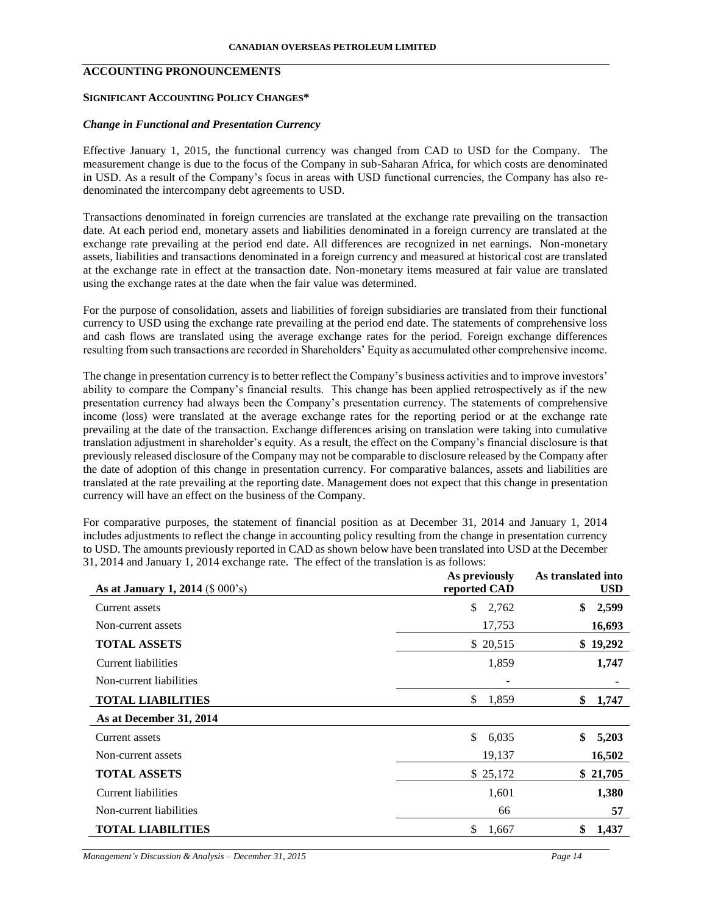# **ACCOUNTING PRONOUNCEMENTS**

#### **SIGNIFICANT ACCOUNTING POLICY CHANGES\***

### *Change in Functional and Presentation Currency*

Effective January 1, 2015, the functional currency was changed from CAD to USD for the Company. The measurement change is due to the focus of the Company in sub-Saharan Africa, for which costs are denominated in USD. As a result of the Company's focus in areas with USD functional currencies, the Company has also redenominated the intercompany debt agreements to USD.

Transactions denominated in foreign currencies are translated at the exchange rate prevailing on the transaction date. At each period end, monetary assets and liabilities denominated in a foreign currency are translated at the exchange rate prevailing at the period end date. All differences are recognized in net earnings. Non-monetary assets, liabilities and transactions denominated in a foreign currency and measured at historical cost are translated at the exchange rate in effect at the transaction date. Non-monetary items measured at fair value are translated using the exchange rates at the date when the fair value was determined.

For the purpose of consolidation, assets and liabilities of foreign subsidiaries are translated from their functional currency to USD using the exchange rate prevailing at the period end date. The statements of comprehensive loss and cash flows are translated using the average exchange rates for the period. Foreign exchange differences resulting from such transactions are recorded in Shareholders' Equity as accumulated other comprehensive income.

The change in presentation currency is to better reflect the Company's business activities and to improve investors' ability to compare the Company's financial results. This change has been applied retrospectively as if the new presentation currency had always been the Company's presentation currency. The statements of comprehensive income (loss) were translated at the average exchange rates for the reporting period or at the exchange rate prevailing at the date of the transaction. Exchange differences arising on translation were taking into cumulative translation adjustment in shareholder's equity. As a result, the effect on the Company's financial disclosure is that previously released disclosure of the Company may not be comparable to disclosure released by the Company after the date of adoption of this change in presentation currency. For comparative balances, assets and liabilities are translated at the rate prevailing at the reporting date. Management does not expect that this change in presentation currency will have an effect on the business of the Company.

For comparative purposes, the statement of financial position as at December 31, 2014 and January 1, 2014 includes adjustments to reflect the change in accounting policy resulting from the change in presentation currency to USD. The amounts previously reported in CAD as shown below have been translated into USD at the December 31, 2014 and January 1, 2014 exchange rate. The effect of the translation is as follows:

| As at January 1, 2014 (\$ 000's) | As previously<br>reported CAD | As translated into<br><b>USD</b> |
|----------------------------------|-------------------------------|----------------------------------|
| Current assets                   | \$<br>2,762                   | \$<br>2,599                      |
| Non-current assets               | 17,753                        | 16,693                           |
| <b>TOTAL ASSETS</b>              | \$ 20,515                     | \$19,292                         |
| Current liabilities              | 1,859                         | 1,747                            |
| Non-current liabilities          | -                             |                                  |
| <b>TOTAL LIABILITIES</b>         | 1,859<br>\$                   | \$<br>1,747                      |
| As at December 31, 2014          |                               |                                  |
| Current assets                   | \$<br>6,035                   | \$<br>5,203                      |
| Non-current assets               | 19,137                        | 16,502                           |
| <b>TOTAL ASSETS</b>              | \$25,172                      | \$21,705                         |
| Current liabilities              | 1,601                         | 1,380                            |
| Non-current liabilities          | 66                            | 57                               |
| <b>TOTAL LIABILITIES</b>         | \$<br>1,667                   | \$<br>1,437                      |

*Management's Discussion & Analysis – December 31, 2015 Page 14*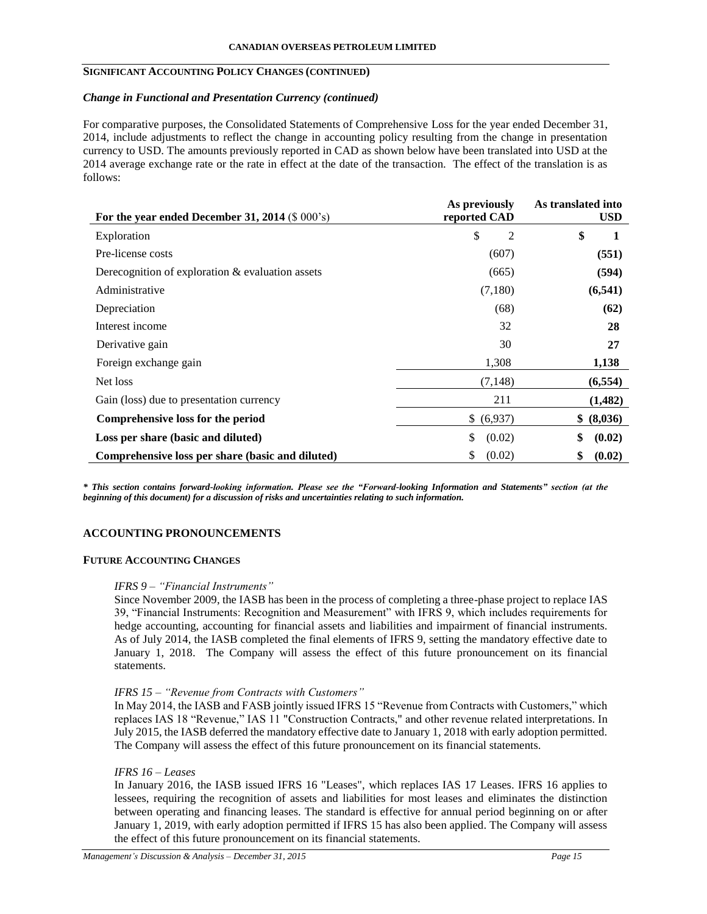# **SIGNIFICANT ACCOUNTING POLICY CHANGES (CONTINUED)**

### *Change in Functional and Presentation Currency (continued)*

For comparative purposes, the Consolidated Statements of Comprehensive Loss for the year ended December 31, 2014, include adjustments to reflect the change in accounting policy resulting from the change in presentation currency to USD. The amounts previously reported in CAD as shown below have been translated into USD at the 2014 average exchange rate or the rate in effect at the date of the transaction. The effect of the translation is as follows:

| For the year ended December 31, 2014 $(\$ 000's)$   | As previously<br>reported CAD | As translated into<br><b>USD</b> |
|-----------------------------------------------------|-------------------------------|----------------------------------|
| Exploration                                         | \$<br>2                       | \$<br>1                          |
| Pre-license costs                                   | (607)                         | (551)                            |
| Derecognition of exploration $\&$ evaluation assets | (665)                         | (594)                            |
| Administrative                                      | (7,180)                       | (6, 541)                         |
| Depreciation                                        | (68)                          | (62)                             |
| Interest income                                     | 32                            | 28                               |
| Derivative gain                                     | 30                            | 27                               |
| Foreign exchange gain                               | 1,308                         | 1,138                            |
| Net loss                                            | (7, 148)                      | (6, 554)                         |
| Gain (loss) due to presentation currency            | 211                           | (1,482)                          |
| Comprehensive loss for the period                   | \$ (6,937)                    | \$ (8,036)                       |
| Loss per share (basic and diluted)                  | \$<br>(0.02)                  | \$<br>(0.02)                     |
| Comprehensive loss per share (basic and diluted)    | (0.02)<br>\$                  | \$<br>(0.02)                     |

*\* This section contains forward-looking information. Please see the "Forward-looking Information and Statements" section (at the beginning of this document) for a discussion of risks and uncertainties relating to such information.*

# **ACCOUNTING PRONOUNCEMENTS**

#### **FUTURE ACCOUNTING CHANGES**

#### *IFRS 9 – "Financial Instruments"*

Since November 2009, the IASB has been in the process of completing a three-phase project to replace IAS 39, "Financial Instruments: Recognition and Measurement" with IFRS 9, which includes requirements for hedge accounting, accounting for financial assets and liabilities and impairment of financial instruments. As of July 2014, the IASB completed the final elements of IFRS 9, setting the mandatory effective date to January 1, 2018. The Company will assess the effect of this future pronouncement on its financial statements.

### *IFRS 15 – "Revenue from Contracts with Customers"*

In May 2014, the IASB and FASB jointly issued IFRS 15 "Revenue from Contracts with Customers," which replaces IAS 18 "Revenue," IAS 11 "Construction Contracts," and other revenue related interpretations. In July 2015, the IASB deferred the mandatory effective date to January 1, 2018 with early adoption permitted. The Company will assess the effect of this future pronouncement on its financial statements.

### *IFRS 16 – Leases*

In January 2016, the IASB issued IFRS 16 "Leases", which replaces IAS 17 Leases. IFRS 16 applies to lessees, requiring the recognition of assets and liabilities for most leases and eliminates the distinction between operating and financing leases. The standard is effective for annual period beginning on or after January 1, 2019, with early adoption permitted if IFRS 15 has also been applied. The Company will assess the effect of this future pronouncement on its financial statements.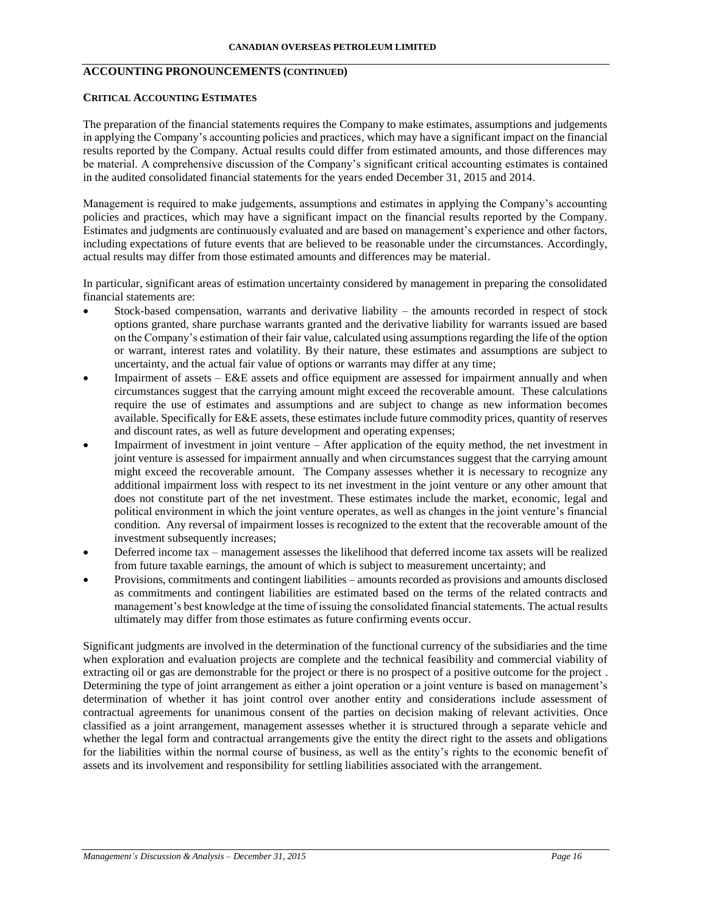# **ACCOUNTING PRONOUNCEMENTS (CONTINUED)**

#### **CRITICAL ACCOUNTING ESTIMATES**

The preparation of the financial statements requires the Company to make estimates, assumptions and judgements in applying the Company's accounting policies and practices, which may have a significant impact on the financial results reported by the Company. Actual results could differ from estimated amounts, and those differences may be material. A comprehensive discussion of the Company's significant critical accounting estimates is contained in the audited consolidated financial statements for the years ended December 31, 2015 and 2014.

Management is required to make judgements, assumptions and estimates in applying the Company's accounting policies and practices, which may have a significant impact on the financial results reported by the Company. Estimates and judgments are continuously evaluated and are based on management's experience and other factors, including expectations of future events that are believed to be reasonable under the circumstances. Accordingly, actual results may differ from those estimated amounts and differences may be material.

In particular, significant areas of estimation uncertainty considered by management in preparing the consolidated financial statements are:

- Stock-based compensation, warrants and derivative liability the amounts recorded in respect of stock options granted, share purchase warrants granted and the derivative liability for warrants issued are based on the Company's estimation of their fair value, calculated using assumptions regarding the life of the option or warrant, interest rates and volatility. By their nature, these estimates and assumptions are subject to uncertainty, and the actual fair value of options or warrants may differ at any time;
- Impairment of assets E&E assets and office equipment are assessed for impairment annually and when circumstances suggest that the carrying amount might exceed the recoverable amount. These calculations require the use of estimates and assumptions and are subject to change as new information becomes available. Specifically for E&E assets, these estimates include future commodity prices, quantity of reserves and discount rates, as well as future development and operating expenses;
- Impairment of investment in joint venture After application of the equity method, the net investment in joint venture is assessed for impairment annually and when circumstances suggest that the carrying amount might exceed the recoverable amount. The Company assesses whether it is necessary to recognize any additional impairment loss with respect to its net investment in the joint venture or any other amount that does not constitute part of the net investment. These estimates include the market, economic, legal and political environment in which the joint venture operates, as well as changes in the joint venture's financial condition. Any reversal of impairment losses is recognized to the extent that the recoverable amount of the investment subsequently increases;
- Deferred income tax management assesses the likelihood that deferred income tax assets will be realized from future taxable earnings, the amount of which is subject to measurement uncertainty; and
- Provisions, commitments and contingent liabilities amounts recorded as provisions and amounts disclosed as commitments and contingent liabilities are estimated based on the terms of the related contracts and management's best knowledge at the time of issuing the consolidated financial statements. The actual results ultimately may differ from those estimates as future confirming events occur.

Significant judgments are involved in the determination of the functional currency of the subsidiaries and the time when exploration and evaluation projects are complete and the technical feasibility and commercial viability of extracting oil or gas are demonstrable for the project or there is no prospect of a positive outcome for the project . Determining the type of joint arrangement as either a joint operation or a joint venture is based on management's determination of whether it has joint control over another entity and considerations include assessment of contractual agreements for unanimous consent of the parties on decision making of relevant activities. Once classified as a joint arrangement, management assesses whether it is structured through a separate vehicle and whether the legal form and contractual arrangements give the entity the direct right to the assets and obligations for the liabilities within the normal course of business, as well as the entity's rights to the economic benefit of assets and its involvement and responsibility for settling liabilities associated with the arrangement.